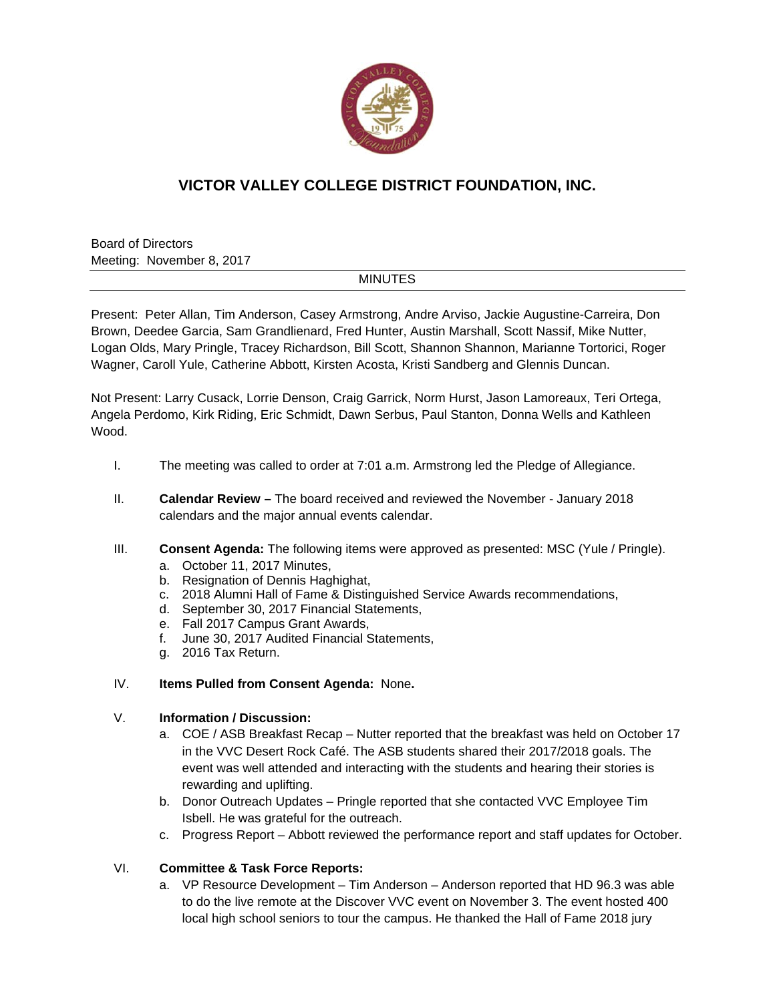

# **VICTOR VALLEY COLLEGE DISTRICT FOUNDATION, INC.**

Board of Directors Meeting: November 8, 2017

### MINUTES

Present: Peter Allan, Tim Anderson, Casey Armstrong, Andre Arviso, Jackie Augustine-Carreira, Don Brown, Deedee Garcia, Sam Grandlienard, Fred Hunter, Austin Marshall, Scott Nassif, Mike Nutter, Logan Olds, Mary Pringle, Tracey Richardson, Bill Scott, Shannon Shannon, Marianne Tortorici, Roger Wagner, Caroll Yule, Catherine Abbott, Kirsten Acosta, Kristi Sandberg and Glennis Duncan.

Not Present: Larry Cusack, Lorrie Denson, Craig Garrick, Norm Hurst, Jason Lamoreaux, Teri Ortega, Angela Perdomo, Kirk Riding, Eric Schmidt, Dawn Serbus, Paul Stanton, Donna Wells and Kathleen Wood.

- I. The meeting was called to order at 7:01 a.m. Armstrong led the Pledge of Allegiance.
- II. **Calendar Review** The board received and reviewed the November January 2018 calendars and the major annual events calendar.
- III. **Consent Agenda:** The following items were approved as presented: MSC (Yule / Pringle).
	- a. October 11, 2017 Minutes,
	- b. Resignation of Dennis Haghighat,
	- c. 2018 Alumni Hall of Fame & Distinguished Service Awards recommendations,
	- d. September 30, 2017 Financial Statements,
	- e. Fall 2017 Campus Grant Awards,
	- f. June 30, 2017 Audited Financial Statements,
	- g. 2016 Tax Return.

### IV. **Items Pulled from Consent Agenda:** None**.**

## V. **Information / Discussion:**

- a. COE / ASB Breakfast Recap Nutter reported that the breakfast was held on October 17 in the VVC Desert Rock Café. The ASB students shared their 2017/2018 goals. The event was well attended and interacting with the students and hearing their stories is rewarding and uplifting.
- b. Donor Outreach Updates Pringle reported that she contacted VVC Employee Tim Isbell. He was grateful for the outreach.
- c. Progress Report Abbott reviewed the performance report and staff updates for October.

### VI. **Committee & Task Force Reports:**

a. VP Resource Development – Tim Anderson – Anderson reported that HD 96.3 was able to do the live remote at the Discover VVC event on November 3. The event hosted 400 local high school seniors to tour the campus. He thanked the Hall of Fame 2018 jury